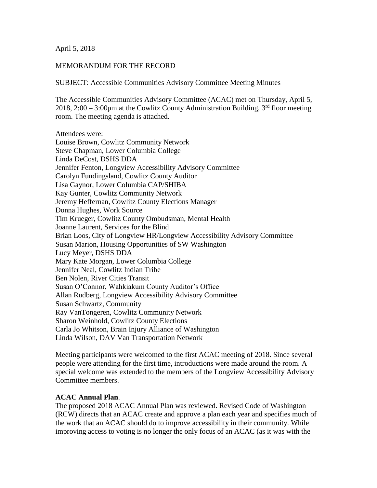April 5, 2018

### MEMORANDUM FOR THE RECORD

SUBJECT: Accessible Communities Advisory Committee Meeting Minutes

The Accessible Communities Advisory Committee (ACAC) met on Thursday, April 5, 2018, 2:00 – 3:00pm at the Cowlitz County Administration Building,  $3<sup>rd</sup>$  floor meeting room. The meeting agenda is attached.

Attendees were: Louise Brown, Cowlitz Community Network Steve Chapman, Lower Columbia College Linda DeCost, DSHS DDA Jennifer Fenton, Longview Accessibility Advisory Committee Carolyn Fundingsland, Cowlitz County Auditor Lisa Gaynor, Lower Columbia CAP/SHIBA Kay Gunter, Cowlitz Community Network Jeremy Heffernan, Cowlitz County Elections Manager Donna Hughes, Work Source Tim Krueger, Cowlitz County Ombudsman, Mental Health Joanne Laurent, Services for the Blind Brian Loos, City of Longview HR/Longview Accessibility Advisory Committee Susan Marion, Housing Opportunities of SW Washington Lucy Meyer, DSHS DDA Mary Kate Morgan, Lower Columbia College Jennifer Neal, Cowlitz Indian Tribe Ben Nolen, River Cities Transit Susan O'Connor, Wahkiakum County Auditor's Office Allan Rudberg, Longview Accessibility Advisory Committee Susan Schwartz, Community Ray VanTongeren, Cowlitz Community Network Sharon Weinhold, Cowlitz County Elections Carla Jo Whitson, Brain Injury Alliance of Washington Linda Wilson, DAV Van Transportation Network

Meeting participants were welcomed to the first ACAC meeting of 2018. Since several people were attending for the first time, introductions were made around the room. A special welcome was extended to the members of the Longview Accessibility Advisory Committee members.

### **ACAC Annual Plan**.

The proposed 2018 ACAC Annual Plan was reviewed. Revised Code of Washington (RCW) directs that an ACAC create and approve a plan each year and specifies much of the work that an ACAC should do to improve accessibility in their community. While improving access to voting is no longer the only focus of an ACAC (as it was with the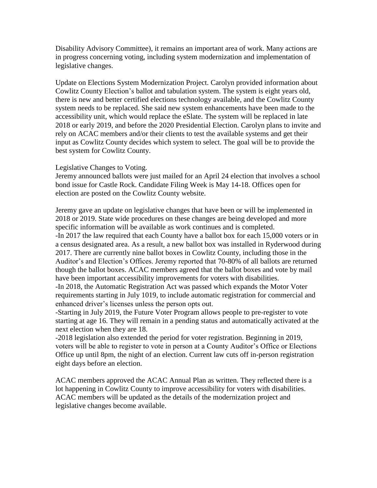Disability Advisory Committee), it remains an important area of work. Many actions are in progress concerning voting, including system modernization and implementation of legislative changes.

Update on Elections System Modernization Project. Carolyn provided information about Cowlitz County Election's ballot and tabulation system. The system is eight years old, there is new and better certified elections technology available, and the Cowlitz County system needs to be replaced. She said new system enhancements have been made to the accessibility unit, which would replace the eSlate. The system will be replaced in late 2018 or early 2019, and before the 2020 Presidential Election. Carolyn plans to invite and rely on ACAC members and/or their clients to test the available systems and get their input as Cowlitz County decides which system to select. The goal will be to provide the best system for Cowlitz County.

### Legislative Changes to Voting.

Jeremy announced ballots were just mailed for an April 24 election that involves a school bond issue for Castle Rock. Candidate Filing Week is May 14-18. Offices open for election are posted on the Cowlitz County website.

Jeremy gave an update on legislative changes that have been or will be implemented in 2018 or 2019. State wide procedures on these changes are being developed and more specific information will be available as work continues and is completed. -In 2017 the law required that each County have a ballot box for each 15,000 voters or in a census designated area. As a result, a new ballot box was installed in Ryderwood during 2017. There are currently nine ballot boxes in Cowlitz County, including those in the Auditor's and Election's Offices. Jeremy reported that 70-80% of all ballots are returned though the ballot boxes. ACAC members agreed that the ballot boxes and vote by mail have been important accessibility improvements for voters with disabilities.

-In 2018, the Automatic Registration Act was passed which expands the Motor Voter requirements starting in July 1019, to include automatic registration for commercial and enhanced driver's licenses unless the person opts out.

-Starting in July 2019, the Future Voter Program allows people to pre-register to vote starting at age 16. They will remain in a pending status and automatically activated at the next election when they are 18.

-2018 legislation also extended the period for voter registration. Beginning in 2019, voters will be able to register to vote in person at a County Auditor's Office or Elections Office up until 8pm, the night of an election. Current law cuts off in-person registration eight days before an election.

ACAC members approved the ACAC Annual Plan as written. They reflected there is a lot happening in Cowlitz County to improve accessibility for voters with disabilities. ACAC members will be updated as the details of the modernization project and legislative changes become available.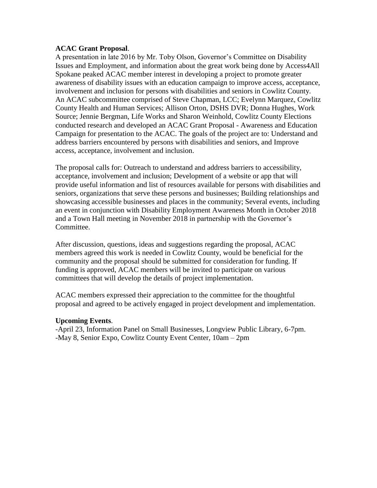### **ACAC Grant Proposal**.

A presentation in late 2016 by Mr. Toby Olson, Governor's Committee on Disability Issues and Employment, and information about the great work being done by Access4All Spokane peaked ACAC member interest in developing a project to promote greater awareness of disability issues with an education campaign to improve access, acceptance, involvement and inclusion for persons with disabilities and seniors in Cowlitz County. An ACAC subcommittee comprised of Steve Chapman, LCC; Evelynn Marquez, Cowlitz County Health and Human Services; Allison Orton, DSHS DVR; Donna Hughes, Work Source; Jennie Bergman, Life Works and Sharon Weinhold, Cowlitz County Elections conducted research and developed an ACAC Grant Proposal - Awareness and Education Campaign for presentation to the ACAC. The goals of the project are to: Understand and address barriers encountered by persons with disabilities and seniors, and Improve access, acceptance, involvement and inclusion.

The proposal calls for: Outreach to understand and address barriers to accessibility, acceptance, involvement and inclusion; Development of a website or app that will provide useful information and list of resources available for persons with disabilities and seniors, organizations that serve these persons and businesses; Building relationships and showcasing accessible businesses and places in the community; Several events, including an event in conjunction with Disability Employment Awareness Month in October 2018 and a Town Hall meeting in November 2018 in partnership with the Governor's Committee.

After discussion, questions, ideas and suggestions regarding the proposal, ACAC members agreed this work is needed in Cowlitz County, would be beneficial for the community and the proposal should be submitted for consideration for funding. If funding is approved, ACAC members will be invited to participate on various committees that will develop the details of project implementation.

ACAC members expressed their appreciation to the committee for the thoughtful proposal and agreed to be actively engaged in project development and implementation.

## **Upcoming Events**.

-April 23, Information Panel on Small Businesses, Longview Public Library, 6-7pm. -May 8, Senior Expo, Cowlitz County Event Center, 10am – 2pm